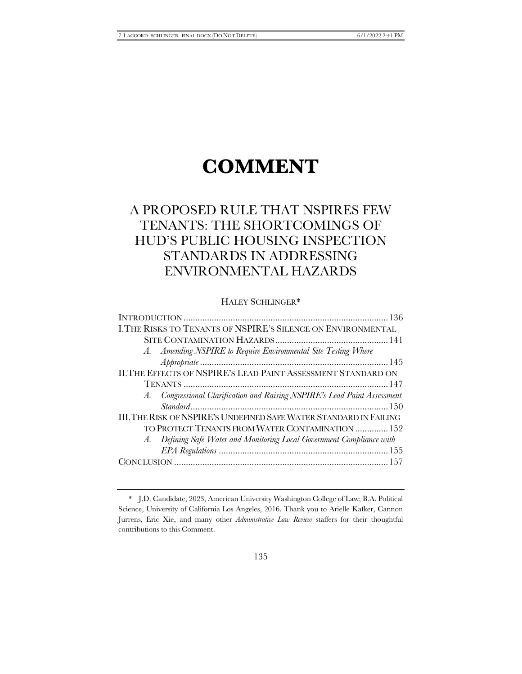# **COMMENT**

# A PROPOSED RULE THAT NSPIRES FEW TENANTS: THE SHORTCOMINGS OF HUD'S PUBLIC HOUSING INSPECTION STANDARDS IN ADDRESSING ENVIRONMENTAL HAZARDS

# HALEY SCHLINGER\*

| I.THE RISKS TO TENANTS OF NSPIRE'S SILENCE ON ENVIRONMENTAL               |
|---------------------------------------------------------------------------|
|                                                                           |
| A. Amending NSPIRE to Require Environmental Site Testing Where            |
|                                                                           |
| II. THE EFFECTS OF NSPIRE'S LEAD PAINT ASSESSMENT STANDARD ON             |
|                                                                           |
| A. Congressional Clarification and Raising NSPIRE's Lead Paint Assessment |
|                                                                           |
| III. THE RISK OF NSPIRE'S UNDEFINED SAFE WATER STANDARD IN FAILING        |
| TO PROTECT TENANTS FROM WATER CONTAMINATION  152                          |
| A. Defining Safe Water and Monitoring Local Government Compliance with    |
|                                                                           |
|                                                                           |
|                                                                           |

<sup>\*</sup> J.D. Candidate, 2023, American University Washington College of Law; B.A. Political Science, University of California Los Angeles, 2016. Thank you to Arielle Kafker, Cannon Jurrens, Eric Xie, and many other *Administrative Law Review* staffers for their thoughtful contributions to this Comment.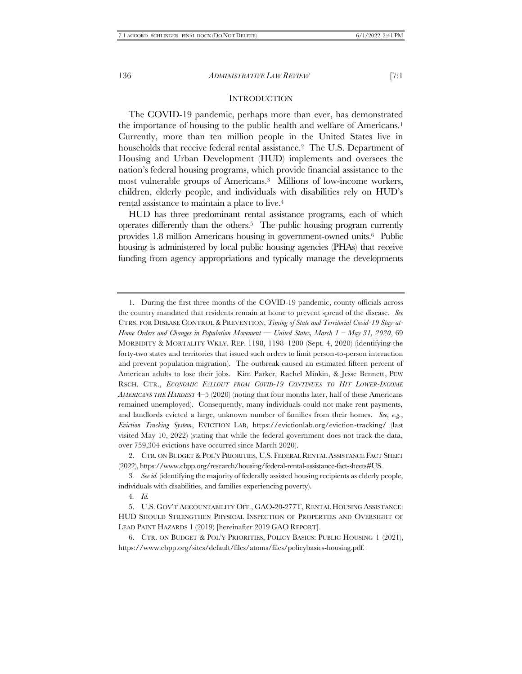#### <span id="page-1-0"></span>**INTRODUCTION**

The COVID-19 pandemic, perhaps more than ever, has demonstrated the importance of housing to the public health and welfare of Americans.<sup>1</sup> Currently, more than ten million people in the United States live in households that receive federal rental assistance.<sup>2</sup> The U.S. Department of Housing and Urban Development (HUD) implements and oversees the nation's federal housing programs, which provide financial assistance to the most vulnerable groups of Americans.3 Millions of low-income workers, children, elderly people, and individuals with disabilities rely on HUD's rental assistance to maintain a place to live.<sup>4</sup>

HUD has three predominant rental assistance programs, each of which operates differently than the others.5 The public housing program currently provides 1.8 million Americans housing in government-owned units.6 Public housing is administered by local public housing agencies (PHAs) that receive funding from agency appropriations and typically manage the developments

<sup>1.</sup> During the first three months of the COVID-19 pandemic, county officials across the country mandated that residents remain at home to prevent spread of the disease. *See*  CTRS. FOR DISEASE CONTROL & PREVENTION, *Timing of State and Territorial Covid-19 Stay-at-Home Orders and Changes in Population Movement — United States, March 1 – May 31, 2020*, 69 MORBIDITY & MORTALITY WKLY. REP. 1198, 1198–1200 (Sept. 4, 2020) (identifying the forty-two states and territories that issued such orders to limit person-to-person interaction and prevent population migration). The outbreak caused an estimated fifteen percent of American adults to lose their jobs. Kim Parker, Rachel Minkin, & Jesse Bennett, PEW RSCH. CTR., *ECONOMIC FALLOUT FROM COVID-19 CONTINUES TO HIT LOWER-INCOME AMERICANS THE HARDEST* 4–5 (2020) (noting that four months later, half of these Americans remained unemployed). Consequently, many individuals could not make rent payments, and landlords evicted a large, unknown number of families from their homes. *See, e.g.*, *Eviction Tracking System*, EVICTION LAB, https://evictionlab.org/eviction-tracking/ (last visited May 10, 2022) (stating that while the federal government does not track the data, over 759,304 evictions have occurred since March 2020).

<sup>2.</sup> CTR. ON BUDGET & POL'Y PRIORITIES, U.S. FEDERAL RENTAL ASSISTANCE FACT SHEET (2022), https://www.cbpp.org/research/housing/federal-rental-assistance-fact-sheets#US.

<sup>3</sup>*. See id.* (identifying the majority of federally assisted housing recipients as elderly people, individuals with disabilities, and families experiencing poverty)*.*

<sup>4</sup>*. Id.*

<sup>5.</sup> U.S. GOV'T ACCOUNTABILITY OFF., GAO-20-277T, RENTAL HOUSING ASSISTANCE: HUD SHOULD STRENGTHEN PHYSICAL INSPECTION OF PROPERTIES AND OVERSIGHT OF LEAD PAINT HAZARDS 1 (2019) [hereinafter 2019 GAO REPORT].

<sup>6.</sup> CTR. ON BUDGET & POL'Y PRIORITIES, POLICY BASICS: PUBLIC HOUSING 1 (2021), https://www.cbpp.org/sites/default/files/atoms/files/policybasics-housing.pdf.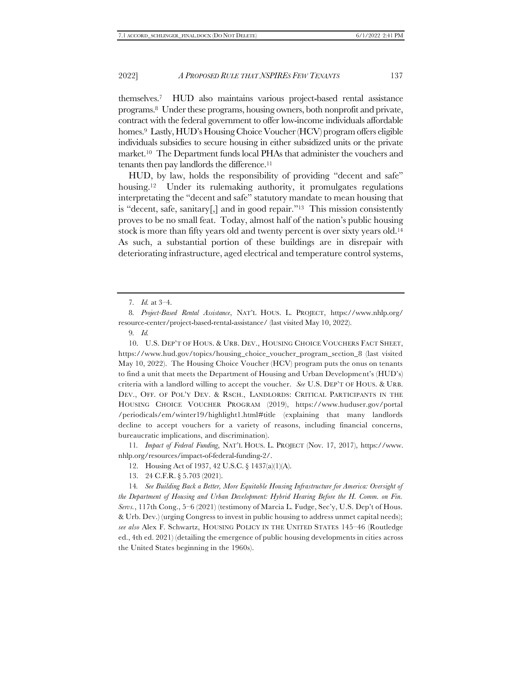themselves.7 HUD also maintains various project-based rental assistance programs.8 Under these programs, housing owners, both nonprofit and private, contract with the federal government to offer low-income individuals affordable homes.<sup>9</sup> Lastly, HUD's Housing Choice Voucher (HCV) program offers eligible individuals subsidies to secure housing in either subsidized units or the private market.10 The Department funds local PHAs that administer the vouchers and tenants then pay landlords the difference.<sup>11</sup>

HUD, by law, holds the responsibility of providing "decent and safe" housing.<sup>12</sup> Under its rulemaking authority, it promulgates regulations interpretating the "decent and safe" statutory mandate to mean housing that is "decent, safe, sanitary[,] and in good repair."13 This mission consistently proves to be no small feat. Today, almost half of the nation's public housing stock is more than fifty years old and twenty percent is over sixty years old.<sup>14</sup> As such, a substantial portion of these buildings are in disrepair with deteriorating infrastructure, aged electrical and temperature control systems,

9*. Id.*

10. U.S. DEP'T OF HOUS. & URB. DEV., HOUSING CHOICE VOUCHERS FACT SHEET, https://www.hud.gov/topics/housing\_choice\_voucher\_program\_section\_8 (last visited May 10, 2022). The Housing Choice Voucher (HCV) program puts the onus on tenants to find a unit that meets the Department of Housing and Urban Development's (HUD's) criteria with a landlord willing to accept the voucher. *See* U.S. DEP'T OF HOUS. & URB. DEV., OFF. OF POL'Y DEV. & RSCH., LANDLORDS: CRITICAL PARTICIPANTS IN THE HOUSING CHOICE VOUCHER PROGRAM (2019), https://www.huduser.gov/portal /periodicals/em/winter19/highlight1.html#title (explaining that many landlords decline to accept vouchers for a variety of reasons, including financial concerns, bureaucratic implications, and discrimination).

11*. Impact of Federal Funding*, NAT'L HOUS. L. PROJECT (Nov. 17, 2017), https://www. nhlp.org/resources/impact-of-federal-funding-2/.

- 12. Housing Act of 1937, 42 U.S.C. § 1437(a)(1)(A).
- 13. 24 C.F.R. § 5.703 (2021).

14*. See Building Back a Better, More Equitable Housing Infrastructure for America: Oversight of the Department of Housing and Urban Development: Hybrid Hearing Before the H. Comm. on Fin. Servs.*, 117th Cong., 5–6 (2021) (testimony of Marcia L. Fudge, Sec'y, U.S. Dep't of Hous. & Urb. Dev.) (urging Congress to invest in public housing to address unmet capital needs); *see also* Alex F. Schwartz, HOUSING POLICY IN THE UNITED STATES 145–46 (Routledge ed., 4th ed. 2021) (detailing the emergence of public housing developments in cities across the United States beginning in the 1960s).

<span id="page-2-0"></span><sup>7</sup>*. Id.* at 3–4.

<sup>8</sup>*. Project-Based Rental Assistance*, NAT'L HOUS. L. PROJECT, https://www.nhlp.org/ resource-center/project-based-rental-assistance/ (last visited May 10, 2022).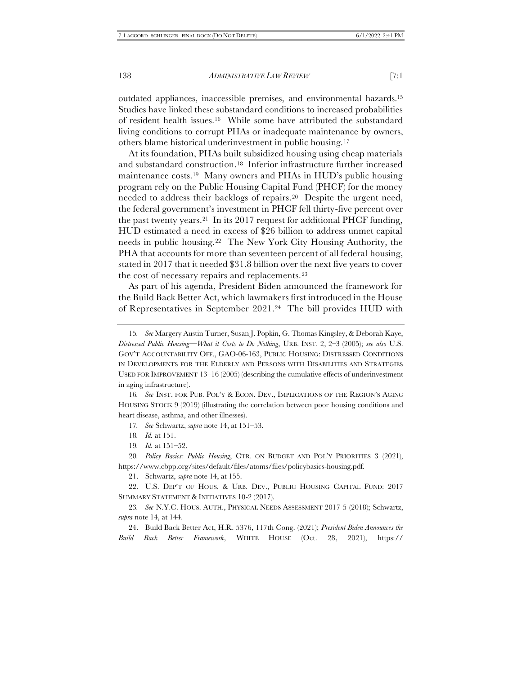outdated appliances, inaccessible premises, and environmental hazards.<sup>15</sup> Studies have linked these substandard conditions to increased probabilities of resident health issues.16 While some have attributed the substandard living conditions to corrupt PHAs or inadequate maintenance by owners, others blame historical underinvestment in public housing.<sup>17</sup>

At its foundation, PHAs built subsidized housing using cheap materials and substandard construction.18 Inferior infrastructure further increased maintenance costs.<sup>19</sup> Many owners and PHAs in HUD's public housing program rely on the Public Housing Capital Fund (PHCF) for the money needed to address their backlogs of repairs.20 Despite the urgent need, the federal government's investment in PHCF fell thirty-five percent over the past twenty years.21 In its 2017 request for additional PHCF funding, HUD estimated a need in excess of \$26 billion to address unmet capital needs in public housing.22 The New York City Housing Authority, the PHA that accounts for more than seventeen percent of all federal housing, stated in 2017 that it needed \$31.8 billion over the next five years to cover the cost of necessary repairs and replacements.<sup>23</sup>

As part of his agenda, President Biden announced the framework for the Build Back Better Act, which lawmakers first introduced in the House of Representatives in September 2021.24 The bill provides HUD with

16*. See* INST. FOR PUB. POL'Y & ECON. DEV., IMPLICATIONS OF THE REGION'S AGING HOUSING STOCK 9 (2019) (illustrating the correlation between poor housing conditions and heart disease, asthma, and other illnesses).

21. Schwartz, *supra* not[e 14,](#page-2-0) at 155.

22. U.S. DEP'T OF HOUS. & URB. DEV., PUBLIC HOUSING CAPITAL FUND: 2017 SUMMARY STATEMENT & INITIATIVES 10-2 (2017).

23*. See* N.Y.C. HOUS. AUTH., PHYSICAL NEEDS ASSESSMENT 2017 5 (2018); Schwartz, *supra* note [14,](#page-2-0) at 144.

24. Build Back Better Act, H.R. 5376, 117th Cong. (2021); *President Biden Announces the Build Back Better Framework*, WHITE HOUSE (Oct. 28, 2021), https://

<sup>15</sup>*. See* Margery Austin Turner, Susan J. Popkin, G. Thomas Kingsley, & Deborah Kaye, *Distressed Public Housing—What it Costs to Do Nothing*, URB. INST. 2, 2–3 (2005); *see also* U.S. GOV'T ACCOUNTABILITY OFF., GAO-06-163, PUBLIC HOUSING: DISTRESSED CONDITIONS IN DEVELOPMENTS FOR THE ELDERLY AND PERSONS WITH DISABILITIES AND STRATEGIES USED FOR IMPROVEMENT 13–16 (2005) (describing the cumulative effects of underinvestment in aging infrastructure).

<sup>17</sup>*. See* Schwartz, *supra* not[e 14,](#page-2-0) at 151–53.

<sup>18</sup>*. Id.* at 151.

<sup>19</sup>*. Id.* at 151–52.

<sup>20</sup>*. Policy Basics: Public Housing*, CTR. ON BUDGET AND POL'Y PRIORITIES 3 (2021), https://www.cbpp.org/sites/default/files/atoms/files/policybasics-housing.pdf.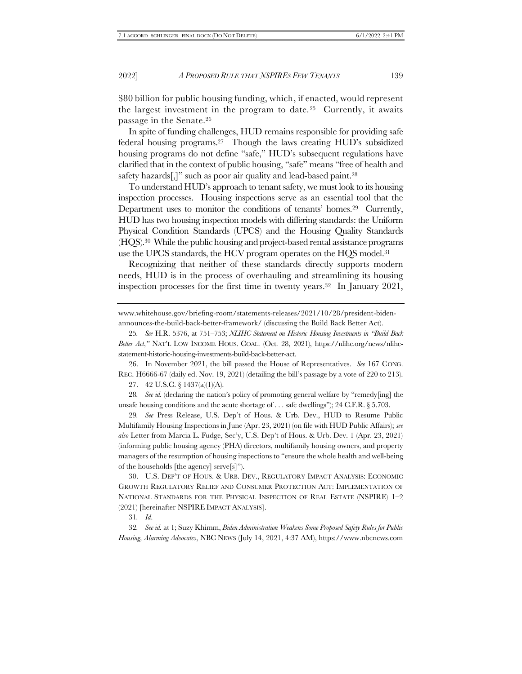\$80 billion for public housing funding, which, if enacted, would represent the largest investment in the program to date.<sup>25</sup> Currently, it awaits passage in the Senate. 26

In spite of funding challenges, HUD remains responsible for providing safe federal housing programs.<sup>27</sup> Though the laws creating HUD's subsidized housing programs do not define "safe," HUD's subsequent regulations have clarified that in the context of public housing, "safe" means "free of health and safety hazards[,]" such as poor air quality and lead-based paint.<sup>28</sup>

To understand HUD's approach to tenant safety, we must look to its housing inspection processes. Housing inspections serve as an essential tool that the Department uses to monitor the conditions of tenants' homes.<sup>29</sup> Currently, HUD has two housing inspection models with differing standards: the Uniform Physical Condition Standards (UPCS) and the Housing Quality Standards (HQS).30 While the public housing and project-based rental assistance programs use the UPCS standards, the HCV program operates on the HQS model.<sup>31</sup>

<span id="page-4-0"></span>Recognizing that neither of these standards directly supports modern needs, HUD is in the process of overhauling and streamlining its housing inspection processes for the first time in twenty years. <sup>32</sup> In January 2021,

26. In November 2021, the bill passed the House of Representatives. *See* 167 CONG. REC. H6666-67 (daily ed. Nov. 19, 2021) (detailing the bill's passage by a vote of 220 to 213).

27. 42 U.S.C. § 1437(a)(1)(A).

28*. See id.* (declaring the nation's policy of promoting general welfare by "remedy[ing] the unsafe housing conditions and the acute shortage of . . . safe dwellings"); 24 C.F.R. § 5.703.

29*. See* Press Release, U.S. Dep't of Hous. & Urb. Dev., HUD to Resume Public Multifamily Housing Inspections in June (Apr. 23, 2021) (on file with HUD Public Affairs); *see also* Letter from Marcia L. Fudge, Sec'y, U.S. Dep't of Hous. & Urb. Dev. 1 (Apr. 23, 2021) (informing public housing agency (PHA) directors, multifamily housing owners, and property managers of the resumption of housing inspections to "ensure the whole health and well-being of the households [the agency] serve[s]").

30. U.S. DEP'T OF HOUS. & URB. DEV., REGULATORY IMPACT ANALYSIS: ECONOMIC GROWTH REGULATORY RELIEF AND CONSUMER PROTECTION ACT: IMPLEMENTATION OF NATIONAL STANDARDS FOR THE PHYSICAL INSPECTION OF REAL ESTATE (NSPIRE) 1–2 (2021) [hereinafter NSPIRE IMPACT ANALYSIS].

31*. Id*.

32*. See id.* at 1; Suzy Khimm, *Biden Administration Weakens Some Proposed Safety Rules for Public Housing, Alarming Advocates*, NBC NEWS (July 14, 2021, 4:37 AM), https://www.nbcnews.com

www.whitehouse.gov/briefing-room/statements-releases/2021/10/28/president-bidenannounces-the-build-back-better-framework/ (discussing the Build Back Better Act).

<sup>25</sup>*. See* H.R. 5376, at 751–753; *NLIHC Statement on Historic Housing Investments in "Build Back Better Act*,*"* NAT'L LOW INCOME HOUS. COAL. (Oct. 28, 2021), https://nlihc.org/news/nlihcstatement-historic-housing-investments-build-back-better-act.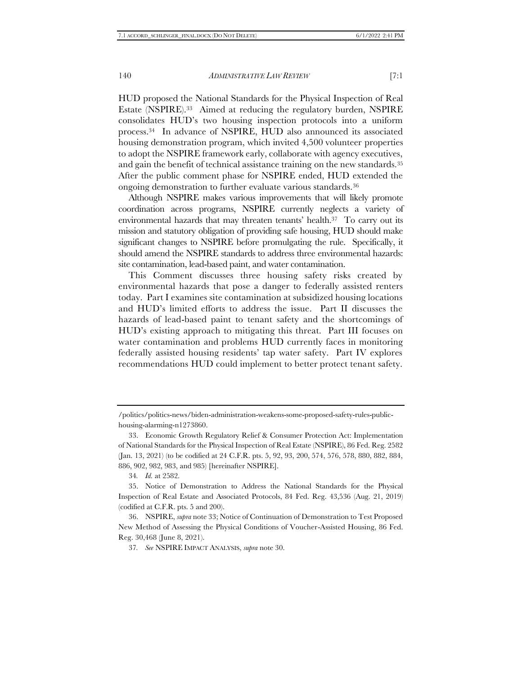<span id="page-5-0"></span>HUD proposed the National Standards for the Physical Inspection of Real Estate (NSPIRE).33 Aimed at reducing the regulatory burden, NSPIRE consolidates HUD's two housing inspection protocols into a uniform process.34 In advance of NSPIRE, HUD also announced its associated housing demonstration program, which invited 4,500 volunteer properties to adopt the NSPIRE framework early, collaborate with agency executives, and gain the benefit of technical assistance training on the new standards.<sup>35</sup> After the public comment phase for NSPIRE ended, HUD extended the ongoing demonstration to further evaluate various standards.<sup>36</sup>

Although NSPIRE makes various improvements that will likely promote coordination across programs, NSPIRE currently neglects a variety of environmental hazards that may threaten tenants' health.37 To carry out its mission and statutory obligation of providing safe housing, HUD should make significant changes to NSPIRE before promulgating the rule. Specifically, it should amend the NSPIRE standards to address three environmental hazards: site contamination, lead-based paint, and water contamination.

This Comment discusses three housing safety risks created by environmental hazards that pose a danger to federally assisted renters today. Part I examines site contamination at subsidized housing locations and HUD's limited efforts to address the issue. Part II discusses the hazards of lead-based paint to tenant safety and the shortcomings of HUD's existing approach to mitigating this threat. Part III focuses on water contamination and problems HUD currently faces in monitoring federally assisted housing residents' tap water safety. Part IV explores recommendations HUD could implement to better protect tenant safety.

<sup>/</sup>politics/politics-news/biden-administration-weakens-some-proposed-safety-rules-publichousing-alarming-n1273860.

<sup>33.</sup> Economic Growth Regulatory Relief & Consumer Protection Act: Implementation of National Standards for the Physical Inspection of Real Estate (NSPIRE), 86 Fed. Reg. 2582 (Jan. 13, 2021) (to be codified at 24 C.F.R. pts. 5, 92, 93, 200, 574, 576, 578, 880, 882, 884, 886, 902, 982, 983, and 985) [hereinafter NSPIRE].

<sup>34</sup>*. Id.* at 2582.

<sup>35.</sup> Notice of Demonstration to Address the National Standards for the Physical Inspection of Real Estate and Associated Protocols, 84 Fed. Reg. 43,536 (Aug. 21, 2019) (codified at C.F.R. pts. 5 and 200).

<sup>36.</sup> NSPIRE, *supra* not[e 33;](#page-5-0) Notice of Continuation of Demonstration to Test Proposed New Method of Assessing the Physical Conditions of Voucher-Assisted Housing, 86 Fed. Reg. 30,468 (June 8, 2021).

<sup>37</sup>*. See* NSPIRE IMPACT ANALYSIS, *supra* not[e 30.](#page-4-0)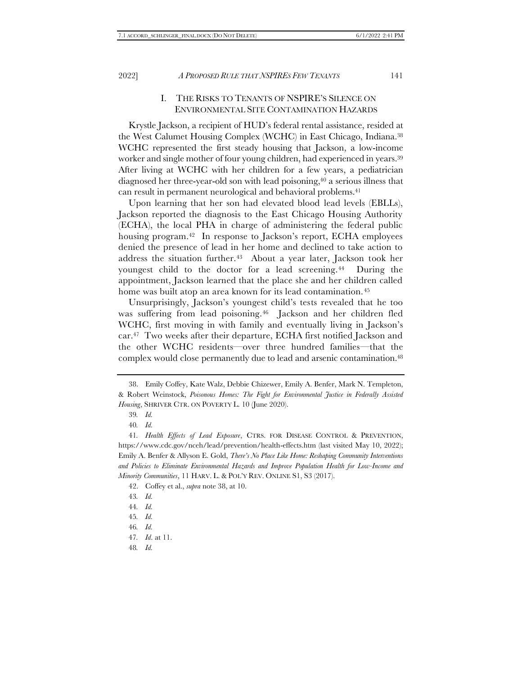#### <span id="page-6-0"></span>I. THE RISKS TO TENANTS OF NSPIRE'S SILENCE ON ENVIRONMENTAL SITE CONTAMINATION HAZARDS

<span id="page-6-1"></span>Krystle Jackson, a recipient of HUD's federal rental assistance, resided at the West Calumet Housing Complex (WCHC) in East Chicago, Indiana.<sup>38</sup> WCHC represented the first steady housing that Jackson, a low-income worker and single mother of four young children, had experienced in years.<sup>39</sup> After living at WCHC with her children for a few years, a pediatrician diagnosed her three-year-old son with lead poisoning, <sup>40</sup> a serious illness that can result in permanent neurological and behavioral problems.<sup>41</sup>

Upon learning that her son had elevated blood lead levels (EBLLs), Jackson reported the diagnosis to the East Chicago Housing Authority (ECHA), the local PHA in charge of administering the federal public housing program.<sup>42</sup> In response to Jackson's report, ECHA employees denied the presence of lead in her home and declined to take action to address the situation further.43 About a year later, Jackson took her youngest child to the doctor for a lead screening.<sup>44</sup> During the appointment, Jackson learned that the place she and her children called home was built atop an area known for its lead contamination.<sup>45</sup>

Unsurprisingly, Jackson's youngest child's tests revealed that he too was suffering from lead poisoning.46 Jackson and her children fled WCHC, first moving in with family and eventually living in Jackson's car.47 Two weeks after their departure, ECHA first notified Jackson and the other WCHC residents—over three hundred families—that the complex would close permanently due to lead and arsenic contamination.<sup>48</sup>

42. Coffey et al., *supra* not[e 38,](#page-6-0) at 10.

46*. Id.*

<sup>38.</sup> Emily Coffey, Kate Walz, Debbie Chizewer, Emily A. Benfer, Mark N. Templeton, & Robert Weinstock, *Poisonous Homes: The Fight for Environmental Justice in Federally Assisted Housing*, SHRIVER CTR. ON POVERTY L. 10 (June 2020).

<sup>39</sup>*. Id.*

<sup>40</sup>*. Id.*

<sup>41</sup>*. Health Effects of Lead Exposure*, CTRS. FOR DISEASE CONTROL & PREVENTION, https://www.cdc.gov/nceh/lead/prevention/health-effects.htm (last visited May 10, 2022); Emily A. Benfer & Allyson E. Gold, *There's No Place Like Home: Reshaping Community Interventions and Policies to Eliminate Environmental Hazards and Improve Population Health for Low-Income and Minority Communities*, 11 HARV. L. & POL'Y REV. ONLINE S1, S3 (2017).

<sup>43</sup>*. Id.*

<sup>44</sup>*. Id.*

<sup>45</sup>*. Id.*

<sup>47</sup>*. Id*. at 11.

<sup>48</sup>*. Id.*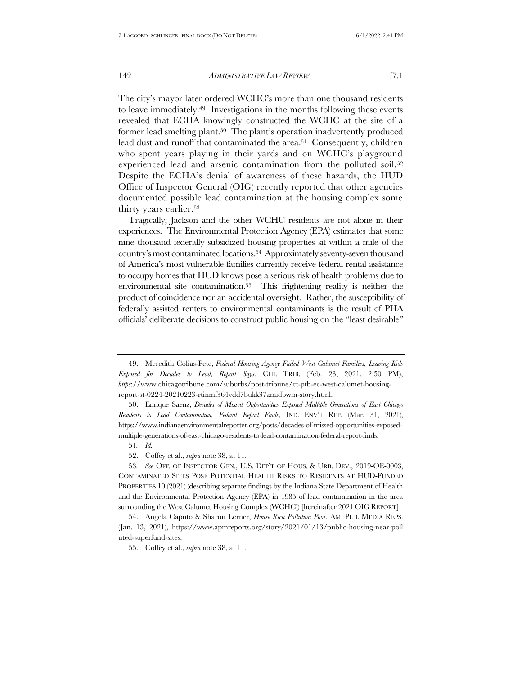<span id="page-7-2"></span>The city's mayor later ordered WCHC's more than one thousand residents to leave immediately.49 Investigations in the months following these events revealed that ECHA knowingly constructed the WCHC at the site of a former lead smelting plant.50 The plant's operation inadvertently produced lead dust and runoff that contaminated the area.<sup>51</sup> Consequently, children who spent years playing in their yards and on WCHC's playground experienced lead and arsenic contamination from the polluted soil.<sup>52</sup> Despite the ECHA's denial of awareness of these hazards, the HUD Office of Inspector General (OIG) recently reported that other agencies documented possible lead contamination at the housing complex some thirty years earlier.<sup>53</sup>

<span id="page-7-1"></span><span id="page-7-0"></span>Tragically, Jackson and the other WCHC residents are not alone in their experiences. The Environmental Protection Agency (EPA) estimates that some nine thousand federally subsidized housing properties sit within a mile of the country's most contaminated locations.54 Approximately seventy-seven thousand of America's most vulnerable families currently receive federal rental assistance to occupy homes that HUD knows pose a serious risk of health problems due to environmental site contamination.55 This frightening reality is neither the product of coincidence nor an accidental oversight. Rather, the susceptibility of federally assisted renters to environmental contaminants is the result of PHA officials' deliberate decisions to construct public housing on the "least desirable"

55. Coffey et al., *supra* not[e 38,](#page-6-0) at 11.

<sup>49.</sup> Meredith Colias-Pete, *Federal Housing Agency Failed West Calumet Families, Leaving Kids Exposed for Decades to Lead, Report Says*, CHI. TRIB. (Feb. 23, 2021, 2:50 PM), *https*://www.chicagotribune.com/suburbs/post-tribune/ct-ptb-ec-west-calumet-housingreport-st-0224-20210223-rtinmf364vdd7bukk37zmidbwm-story.html.

<sup>50.</sup> Enrique Saenz, *Decades of Missed Opportunities Exposed Multiple Generations of East Chicago Residents to Lead Contamination, Federal Report Finds*, IND. ENV'T REP. (Mar. 31, 2021), https://www.indianaenvironmentalreporter.org/posts/decades-of-missed-opportunities-exposedmultiple-generations-of-east-chicago-residents-to-lead-contamination-federal-report-finds.

<sup>51</sup>*. Id.*

<sup>52.</sup> Coffey et al., *supra* not[e 38,](#page-6-0) at 11.

<sup>53</sup>*. See* OFF. OF INSPECTOR GEN., U.S. DEP'T OF HOUS. & URB. DEV., 2019-OE-0003, CONTAMINATED SITES POSE POTENTIAL HEALTH RISKS TO RESIDENTS AT HUD-FUNDED PROPERTIES 10 (2021) (describing separate findings by the Indiana State Department of Health and the Environmental Protection Agency (EPA) in 1985 of lead contamination in the area surrounding the West Calumet Housing Complex (WCHC)) [hereinafter 2021 OIG REPORT].

<sup>54.</sup> Angela Caputo & Sharon Lerner, *House Rich Pollution Poor*, AM. PUB. MEDIA REPS. (Jan. 13, 2021), https://www.apmreports.org/story/2021/01/13/public-housing-near-poll uted-superfund-sites.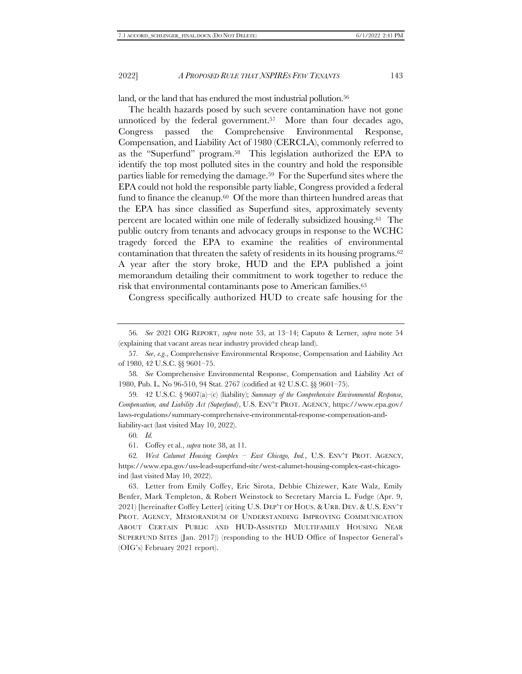land, or the land that has endured the most industrial pollution.<sup>56</sup>

The health hazards posed by such severe contamination have not gone unnoticed by the federal government.57 More than four decades ago, Congress passed the Comprehensive Environmental Response, Compensation, and Liability Act of 1980 (CERCLA), commonly referred to as the "Superfund" program.58 This legislation authorized the EPA to identify the top most polluted sites in the country and hold the responsible parties liable for remedying the damage.59 For the Superfund sites where the EPA could not hold the responsible party liable, Congress provided a federal fund to finance the cleanup.<sup>60</sup> Of the more than thirteen hundred areas that the EPA has since classified as Superfund sites, approximately seventy percent are located within one mile of federally subsidized housing.61 The public outcry from tenants and advocacy groups in response to the WCHC tragedy forced the EPA to examine the realities of environmental contamination that threaten the safety of residents in its housing programs.<sup>62</sup> A year after the story broke, HUD and the EPA published a joint memorandum detailing their commitment to work together to reduce the risk that environmental contaminants pose to American families.<sup>63</sup>

<span id="page-8-0"></span>Congress specifically authorized HUD to create safe housing for the

58*. See* Comprehensive Environmental Response, Compensation and Liability Act of 1980, Pub. L. No 96-510, 94 Stat. 2767 (codified at 42 U.S.C. §§ 9601–75).

59*.* 42 U.S.C. § 9607(a)–(c) (liability); *Summary of the Comprehensive Environmental Response, Compensation, and Liability Act (Superfund)*, U.S. ENV'T PROT. AGENCY, https://www.epa.gov/ laws-regulations/summary-comprehensive-environmental-response-compensation-andliability-act (last visited May 10, 2022).

60*. Id.*

63. Letter from Emily Coffey, Eric Sirota, Debbie Chizewer, Kate Walz, Emily Benfer, Mark Templeton, & Robert Weinstock to Secretary Marcia L. Fudge (Apr. 9, 2021) [hereinafter Coffey Letter] (citing U.S. DEP'T OF HOUS. & URB. DEV. & U.S. ENV'T PROT. AGENCY, MEMORANDUM OF UNDERSTANDING IMPROVING COMMUNICATION ABOUT CERTAIN PUBLIC AND HUD-ASSISTED MULTIFAMILY HOUSING NEAR SUPERFUND SITES (Jan. 2017)) (responding to the HUD Office of Inspector General's (OIG's) February 2021 report).

<sup>56</sup>*. See* 2021 OIG REPORT, *supra* note [53,](#page-7-0) at 13–14; Caputo & Lerner, *supra* note [54](#page-7-1) (explaining that vacant areas near industry provided cheap land).

<sup>57</sup>*. See*, *e.g.*, Comprehensive Environmental Response, Compensation and Liability Act of 1980, 42 U.S.C. §§ 9601–75.

<sup>61.</sup> Coffey et al., *supra* not[e 38,](#page-6-0) at 11.

<sup>62</sup>*. West Calumet Housing Complex – East Chicago, Ind.*, U.S. ENV'T PROT. AGENCY, https://www.epa.gov/uss-lead-superfund-site/west-calumet-housing-complex-east-chicagoind (last visited May 10, 2022).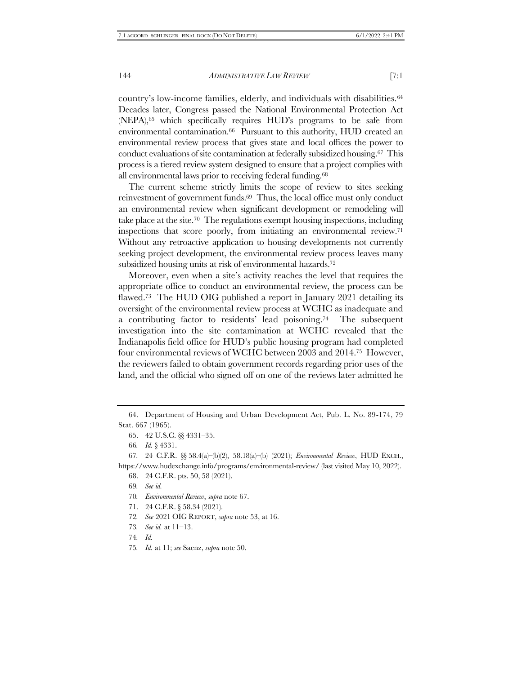country's low-income families, elderly, and individuals with disabilities.<sup>64</sup> Decades later, Congress passed the National Environmental Protection Act (NEPA),<sup>65</sup> which specifically requires HUD's programs to be safe from environmental contamination.<sup>66</sup> Pursuant to this authority, HUD created an environmental review process that gives state and local offices the power to conduct evaluations of site contamination at federally subsidized housing.67 This process is a tiered review system designed to ensure that a project complies with all environmental laws prior to receiving federal funding.<sup>68</sup>

<span id="page-9-0"></span>The current scheme strictly limits the scope of review to sites seeking reinvestment of government funds.69 Thus, the local office must only conduct an environmental review when significant development or remodeling will take place at the site.70 The regulations exempt housing inspections, including inspections that score poorly, from initiating an environmental review.<sup>71</sup> Without any retroactive application to housing developments not currently seeking project development, the environmental review process leaves many subsidized housing units at risk of environmental hazards.<sup>72</sup>

Moreover, even when a site's activity reaches the level that requires the appropriate office to conduct an environmental review, the process can be flawed.<sup>73</sup> The HUD OIG published a report in January 2021 detailing its oversight of the environmental review process at WCHC as inadequate and a contributing factor to residents' lead poisoning.74 The subsequent investigation into the site contamination at WCHC revealed that the Indianapolis field office for HUD's public housing program had completed four environmental reviews of WCHC between 2003 and 2014.75 However, the reviewers failed to obtain government records regarding prior uses of the land, and the official who signed off on one of the reviews later admitted he

- 71. 24 C.F.R. § 58.34 (2021).
- 72*. See* 2021 OIG REPORT, *supra* not[e 53,](#page-7-0) at 16.
- 73*. See id.* at 11–13.
- 74*. Id.*

<sup>64.</sup> Department of Housing and Urban Development Act, Pub. L. No. 89-174, 79 Stat. 667 (1965).

<sup>65.</sup> 42 U.S.C. §§ 4331–35.

<sup>66</sup>*. Id.* § 4331.

<sup>67</sup>*.* 24 C.F.R. §§ 58.4(a)–(b)(2), 58.18(a)–(b) (2021); *Environmental Review*, HUD EXCH., https://www.hudexchange.info/programs/environmental-review/ (last visited May 10, 2022).

<sup>68.</sup> 24 C.F.R. pts. 50, 58 (2021).

<sup>69</sup>*. See id.*

<sup>70</sup>*. Environmental Review*, *supra* note [67.](#page-9-0)

<sup>75</sup>*. Id.* at 11; *see* Saenz, *supra* note [50.](#page-7-2)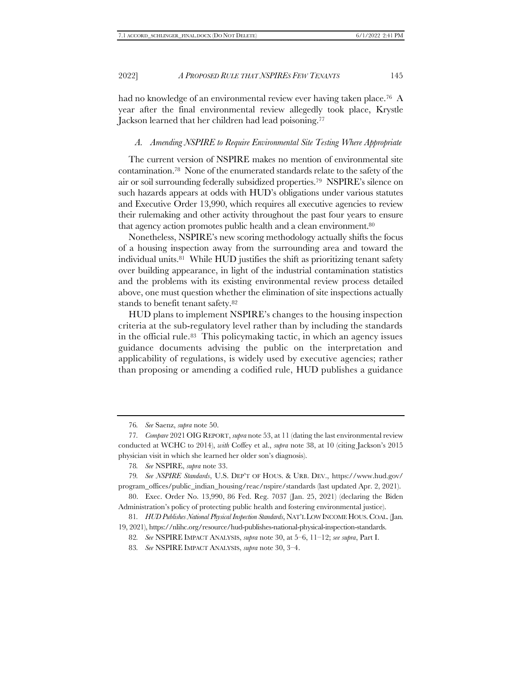had no knowledge of an environmental review ever having taken place.<sup>76</sup> A year after the final environmental review allegedly took place, Krystle Jackson learned that her children had lead poisoning.<sup>77</sup>

#### *A. Amending NSPIRE to Require Environmental Site Testing Where Appropriate*

The current version of NSPIRE makes no mention of environmental site contamination.78 None of the enumerated standards relate to the safety of the air or soil surrounding federally subsidized properties.<sup>79</sup> NSPIRE's silence on such hazards appears at odds with HUD's obligations under various statutes and Executive Order 13,990, which requires all executive agencies to review their rulemaking and other activity throughout the past four years to ensure that agency action promotes public health and a clean environment.<sup>80</sup>

Nonetheless, NSPIRE's new scoring methodology actually shifts the focus of a housing inspection away from the surrounding area and toward the individual units.81 While HUD justifies the shift as prioritizing tenant safety over building appearance, in light of the industrial contamination statistics and the problems with its existing environmental review process detailed above, one must question whether the elimination of site inspections actually stands to benefit tenant safety.<sup>82</sup>

HUD plans to implement NSPIRE's changes to the housing inspection criteria at the sub-regulatory level rather than by including the standards in the official rule.83 This policymaking tactic, in which an agency issues guidance documents advising the public on the interpretation and applicability of regulations, is widely used by executive agencies; rather than proposing or amending a codified rule, HUD publishes a guidance

<sup>76</sup>*. See* Saenz, *supra* note 50.

<sup>77</sup>*. Compare* 2021 OIG REPORT, *supra* not[e 53,](#page-7-0) at 11 (dating the last environmental review conducted at WCHC to 2014), *with* Coffey et al., *supra* note [38](#page-6-0), at 10 (citing Jackson's 2015 physician visit in which she learned her older son's diagnosis).

<sup>78</sup>*. See* NSPIRE, *supra* note [33.](#page-5-0)

<sup>79</sup>*. See NSPIRE Standards*, U.S. DEP'T OF HOUS. & URB. DEV., https://www.hud.gov/ program\_offices/public\_indian\_housing/reac/nspire/standards (last updated Apr. 2, 2021).

<sup>80.</sup> Exec. Order No. 13,990, 86 Fed. Reg. 7037 (Jan. 25, 2021) (declaring the Biden Administration's policy of protecting public health and fostering environmental justice).

<sup>81</sup>*. HUD Publishes National Physical Inspection Standards*, NAT'L LOW INCOME HOUS.COAL. (Jan. 19, 2021), https://nlihc.org/resource/hud-publishes-national-physical-inspection-standards.

<sup>82</sup>*. See* NSPIRE IMPACT ANALYSIS, *supra* not[e 30,](#page-4-0) at 5–6, 11–12; *see supra*, Par[t I.](#page-6-1)

<sup>83</sup>*. See* NSPIRE IMPACT ANALYSIS, *supra* not[e 30,](#page-4-0) 3–4.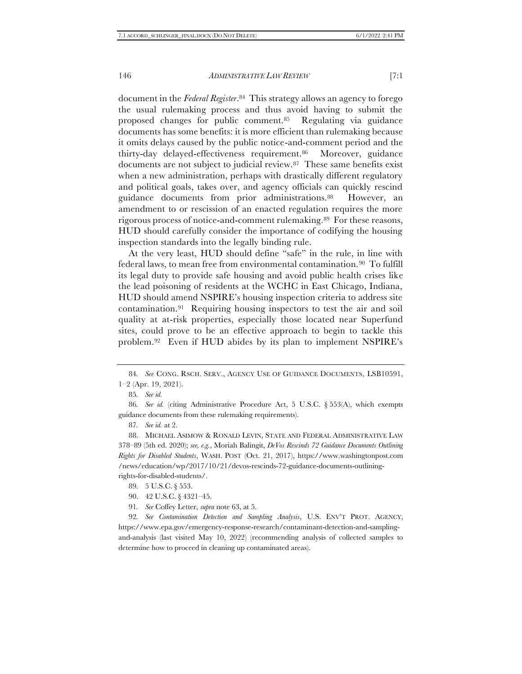document in the *Federal Register*. <sup>84</sup> This strategy allows an agency to forego the usual rulemaking process and thus avoid having to submit the proposed changes for public comment.85 Regulating via guidance documents has some benefits: it is more efficient than rulemaking because it omits delays caused by the public notice-and-comment period and the thirty-day delayed-effectiveness requirement.86 Moreover, guidance documents are not subject to judicial review.87 These same benefits exist when a new administration, perhaps with drastically different regulatory and political goals, takes over, and agency officials can quickly rescind guidance documents from prior administrations.88 However, an amendment to or rescission of an enacted regulation requires the more rigorous process of notice-and-comment rulemaking.89 For these reasons, HUD should carefully consider the importance of codifying the housing inspection standards into the legally binding rule.

At the very least, HUD should define "safe" in the rule, in line with federal laws, to mean free from environmental contamination.90 To fulfill its legal duty to provide safe housing and avoid public health crises like the lead poisoning of residents at the WCHC in East Chicago, Indiana, HUD should amend NSPIRE's housing inspection criteria to address site contamination.91 Requiring housing inspectors to test the air and soil quality at at-risk properties, especially those located near Superfund sites, could prove to be an effective approach to begin to tackle this problem.92 Even if HUD abides by its plan to implement NSPIRE's

<sup>84</sup>*. See* CONG. RSCH. SERV., AGENCY USE OF GUIDANCE DOCUMENTS, LSB10591, 1–2 (Apr. 19, 2021).

<sup>85</sup>*. See id.*

<sup>86</sup>*. See id.* (citing Administrative Procedure Act, 5 U.S.C. § 553(A), which exempts guidance documents from these rulemaking requirements).

<sup>87</sup>*. See id.* at 2.

<sup>88.</sup> MICHAEL ASIMOW & RONALD LEVIN, STATE AND FEDERAL ADMINISTRATIVE LAW 378–89 (5th ed. 2020); *see, e.g.*, Moriah Balingit, *DeVos Rescinds 72 Guidance Documents Outlining Rights for Disabled Students*, WASH. POST (Oct. 21, 2017), https://www.washingtonpost.com /news/education/wp/2017/10/21/devos-rescinds-72-guidance-documents-outliningrights-for-disabled-students/.

<sup>89.</sup> 5 U.S.C. § 553.

<sup>90.</sup> 42 U.S.C. § 4321–45.

<sup>91</sup>*. See* Coffey Letter, *supra* not[e 63,](#page-8-0) at 5.

<sup>92</sup>*. See Contamination Detection and Sampling Analysis*, U.S. ENV'T PROT. AGENCY, https://www.epa.gov/emergency-response-research/contaminant-detection-and-samplingand-analysis (last visited May 10, 2022) (recommending analysis of collected samples to determine how to proceed in cleaning up contaminated areas).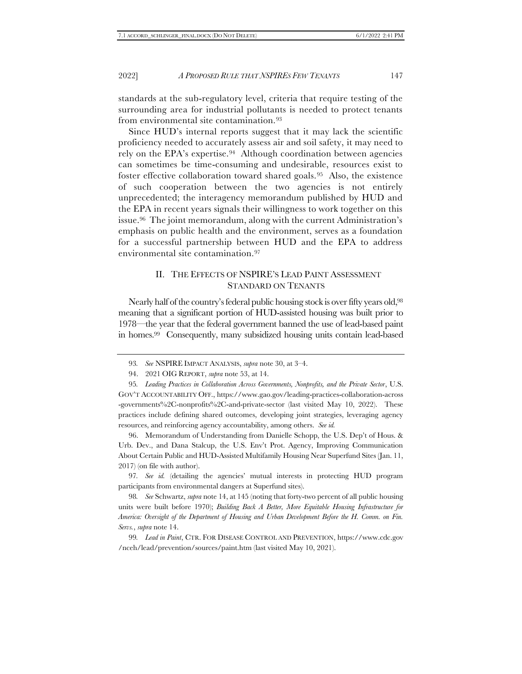standards at the sub-regulatory level, criteria that require testing of the surrounding area for industrial pollutants is needed to protect tenants from environmental site contamination.<sup>93</sup>

Since HUD's internal reports suggest that it may lack the scientific proficiency needed to accurately assess air and soil safety, it may need to rely on the EPA's expertise.94 Although coordination between agencies can sometimes be time-consuming and undesirable, resources exist to foster effective collaboration toward shared goals.95 Also, the existence of such cooperation between the two agencies is not entirely unprecedented; the interagency memorandum published by HUD and the EPA in recent years signals their willingness to work together on this issue.<sup>96</sup> The joint memorandum, along with the current Administration's emphasis on public health and the environment, serves as a foundation for a successful partnership between HUD and the EPA to address environmental site contamination.<sup>97</sup>

# II. THE EFFECTS OF NSPIRE'S LEAD PAINT ASSESSMENT STANDARD ON TENANTS

Nearly half of the country's federal public housing stock is over fifty years old, 98 meaning that a significant portion of HUD-assisted housing was built prior to 1978—the year that the federal government banned the use of lead-based paint in homes.99 Consequently, many subsidized housing units contain lead-based

96. Memorandum of Understanding from Danielle Schopp, the U.S. Dep't of Hous. & Urb. Dev., and Dana Stalcup, the U.S. Env't Prot. Agency, Improving Communication About Certain Public and HUD-Assisted Multifamily Housing Near Superfund Sites (Jan. 11, 2017) (on file with author).

97*. See id.* (detailing the agencies' mutual interests in protecting HUD program participants from environmental dangers at Superfund sites).

98*. See* Schwartz, *supra* not[e 14,](#page-2-0) at 145 (noting that forty-two percent of all public housing units were built before 1970); *Building Back A Better, More Equitable Housing Infrastructure for America: Oversight of the Department of Housing and Urban Development Before the H. Comm. on Fin. Servs.*, *supra* not[e 14.](#page-2-0) 

99*. Lead in Paint*, CTR. FOR DISEASE CONTROL AND PREVENTION, https://www.cdc.gov /nceh/lead/prevention/sources/paint.htm (last visited May 10, 2021).

<sup>93</sup>*. See* NSPIRE IMPACT ANALYSIS, *supra* not[e 30,](#page-4-0) at 3–4.

<sup>94.</sup> 2021 OIG REPORT, *supra* not[e 53,](#page-7-0) at 14.

<sup>95</sup>*. Leading Practices in Collaboration Across Governments, Nonprofits, and the Private Sector*, U.S. GOV'T ACCOUNTABILITY OFF., https://www.gao.gov/leading-practices-collaboration-across -governments%2C-nonprofits%2C-and-private-sector (last visited May 10, 2022). These practices include defining shared outcomes, developing joint strategies, leveraging agency resources, and reinforcing agency accountability, among others. *See id.*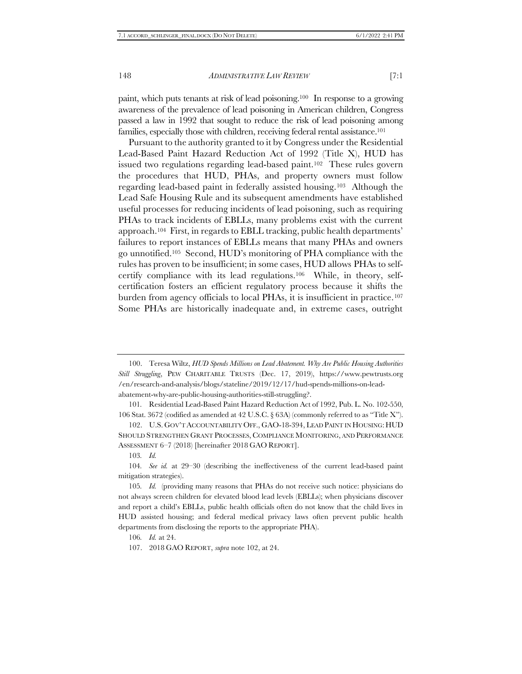paint, which puts tenants at risk of lead poisoning.100 In response to a growing awareness of the prevalence of lead poisoning in American children, Congress passed a law in 1992 that sought to reduce the risk of lead poisoning among families, especially those with children, receiving federal rental assistance.<sup>101</sup>

<span id="page-13-0"></span>Pursuant to the authority granted to it by Congress under the Residential Lead-Based Paint Hazard Reduction Act of 1992 (Title X), HUD has issued two regulations regarding lead-based paint.<sup>102</sup> These rules govern the procedures that HUD, PHAs, and property owners must follow regarding lead-based paint in federally assisted housing.103 Although the Lead Safe Housing Rule and its subsequent amendments have established useful processes for reducing incidents of lead poisoning, such as requiring PHAs to track incidents of EBLLs, many problems exist with the current approach.104 First, in regards to EBLL tracking, public health departments' failures to report instances of EBLLs means that many PHAs and owners go unnotified. <sup>105</sup> Second, HUD's monitoring of PHA compliance with the rules has proven to be insufficient; in some cases, HUD allows PHAs to selfcertify compliance with its lead regulations.106 While, in theory, selfcertification fosters an efficient regulatory process because it shifts the burden from agency officials to local PHAs, it is insufficient in practice.<sup>107</sup> Some PHAs are historically inadequate and, in extreme cases, outright

<sup>100.</sup> Teresa Wiltz, *HUD Spends Millions on Lead Abatement. Why Are Public Housing Authorities Still Struggling*, PEW CHARITABLE TRUSTS (Dec. 17, 2019), https://www.pewtrusts.org /en/research-and-analysis/blogs/stateline/2019/12/17/hud-spends-millions-on-leadabatement-why-are-public-housing-authorities-still-struggling?.

<sup>101</sup>*.* Residential Lead-Based Paint Hazard Reduction Act of 1992, Pub. L. No. 102-550, 106 Stat. 3672 (codified as amended at 42 U.S.C. § 63A) (commonly referred to as "Title X").

<sup>102.</sup> U.S.GOV'T ACCOUNTABILITY OFF., GAO-18-394, LEAD PAINT IN HOUSING: HUD SHOULD STRENGTHEN GRANT PROCESSES, COMPLIANCE MONITORING, AND PERFORMANCE ASSESSMENT 6–7 (2018) [hereinafter 2018 GAO REPORT].

<sup>103</sup>*. Id.*

<sup>104</sup>*. See id.* at 29–30 (describing the ineffectiveness of the current lead-based paint mitigation strategies).

<sup>105</sup>*. Id.* (providing many reasons that PHAs do not receive such notice: physicians do not always screen children for elevated blood lead levels (EBLLs); when physicians discover and report a child's EBLLs, public health officials often do not know that the child lives in HUD assisted housing; and federal medical privacy laws often prevent public health departments from disclosing the reports to the appropriate PHA).

<sup>106</sup>*. Id.* at 24.

<sup>107.</sup> 2018 GAO REPORT, *supra* not[e 102,](#page-13-0) at 24.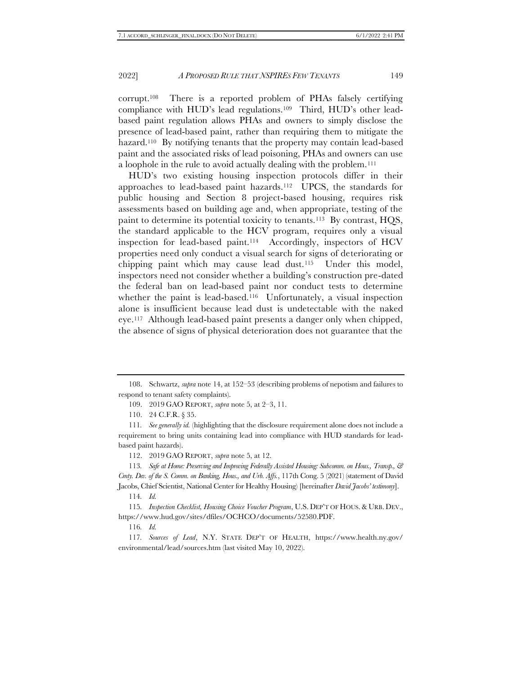corrupt.108 There is a reported problem of PHAs falsely certifying compliance with HUD's lead regulations.109 Third, HUD's other leadbased paint regulation allows PHAs and owners to simply disclose the presence of lead-based paint, rather than requiring them to mitigate the hazard.<sup>110</sup> By notifying tenants that the property may contain lead-based paint and the associated risks of lead poisoning, PHAs and owners can use a loophole in the rule to avoid actually dealing with the problem.<sup>111</sup>

<span id="page-14-0"></span>HUD's two existing housing inspection protocols differ in their approaches to lead-based paint hazards.112 UPCS, the standards for public housing and Section 8 project-based housing, requires risk assessments based on building age and, when appropriate, testing of the paint to determine its potential toxicity to tenants.113 By contrast, HQS, the standard applicable to the HCV program, requires only a visual inspection for lead-based paint.114 Accordingly, inspectors of HCV properties need only conduct a visual search for signs of deteriorating or chipping paint which may cause lead dust.115 Under this model, inspectors need not consider whether a building's construction pre-dated the federal ban on lead-based paint nor conduct tests to determine whether the paint is lead-based.<sup>116</sup> Unfortunately, a visual inspection alone is insufficient because lead dust is undetectable with the naked eye.117 Although lead-based paint presents a danger only when chipped, the absence of signs of physical deterioration does not guarantee that the

109. 2019 GAO REPORT, *supra* not[e 5,](#page-1-0) at 2–3, 11.

110. 24 C.F.R. § 35.

111*. See generally id.* (highlighting that the disclosure requirement alone does not include a requirement to bring units containing lead into compliance with HUD standards for leadbased paint hazards).

112. 2019 GAO REPORT, *supra* not[e 5,](#page-1-0) at 12.

113*. Safe at Home: Preserving and Improving Federally Assisted Housing: Subcomm. on Hous., Transp., & Cmty. Dev. of the S. Comm. on Banking, Hous., and Urb. Affs.*, 117th Cong. 5 (2021) (statement of David Jacobs, Chief Scientist, National Center for Healthy Housing) [hereinafter *David Jacobs' testimony*].

114*. Id.*

115*. Inspection Checklist, Housing Choice Voucher Program*, U.S. DEP'T OF HOUS. & URB. DEV., https://www.hud.gov/sites/dfiles/OCHCO/documents/52580.PDF.

116*. Id.*

117*. Sources of Lead*, N.Y. STATE DEP'T OF HEALTH, https://www.health.ny.gov/ environmental/lead/sources.htm (last visited May 10, 2022).

<sup>108.</sup> Schwartz, *supra* not[e 14,](#page-2-0) at 152–53 (describing problems of nepotism and failures to respond to tenant safety complaints).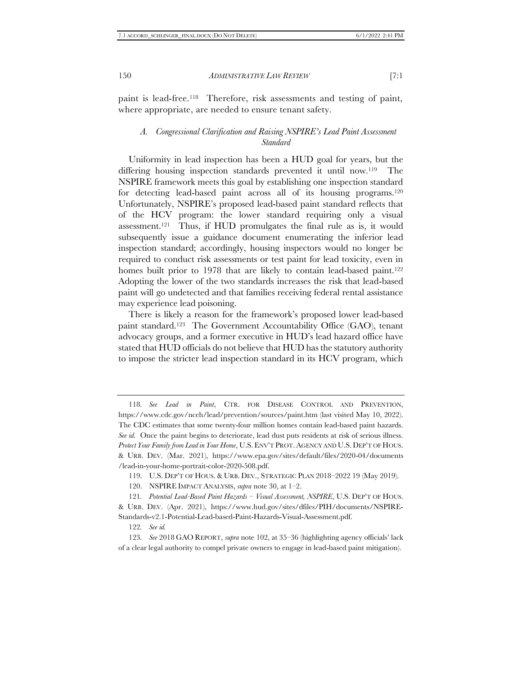paint is lead-free.118 Therefore, risk assessments and testing of paint, where appropriate, are needed to ensure tenant safety.

#### <span id="page-15-1"></span>*A. Congressional Clarification and Raising NSPIRE's Lead Paint Assessment Standard*

<span id="page-15-0"></span>Uniformity in lead inspection has been a HUD goal for years, but the differing housing inspection standards prevented it until now.<sup>119</sup> The NSPIRE framework meets this goal by establishing one inspection standard for detecting lead-based paint across all of its housing programs.<sup>120</sup> Unfortunately, NSPIRE's proposed lead-based paint standard reflects that of the HCV program: the lower standard requiring only a visual assessment.121 Thus, if HUD promulgates the final rule as is, it would subsequently issue a guidance document enumerating the inferior lead inspection standard; accordingly, housing inspectors would no longer be required to conduct risk assessments or test paint for lead toxicity, even in homes built prior to 1978 that are likely to contain lead-based paint.<sup>122</sup> Adopting the lower of the two standards increases the risk that lead-based paint will go undetected and that families receiving federal rental assistance may experience lead poisoning.

There is likely a reason for the framework's proposed lower lead-based paint standard.<sup>123</sup> The Government Accountability Office (GAO), tenant advocacy groups, and a former executive in HUD's lead hazard office have stated that HUD officials do not believe that HUD has the statutory authority to impose the stricter lead inspection standard in its HCV program, which

119. U.S. DEP'T OF HOUS. & URB. DEV., STRATEGIC PLAN 2018–2022 19 (May 2019).

120. NSPIRE IMPACT ANALYSIS, *supra* note [30,](#page-4-0) at 1–2.

121*. Potential Lead-Based Paint Hazards – Visual Assessment, NSPIRE*, U.S. DEP'T OF HOUS. & URB. DEV. (Apr. 2021), https://www.hud.gov/sites/dfiles/PIH/documents/NSPIRE-Standards-v2.1-Potential-Lead-based-Paint-Hazards-Visual-Assessment.pdf.

122*. See id.*

123*. See* 2018 GAO REPORT, *supra* not[e 102,](#page-13-0) at 35–36 (highlighting agency officials' lack of a clear legal authority to compel private owners to engage in lead-based paint mitigation).

<sup>118</sup>*. See Lead in Paint*, CTR. FOR DISEASE CONTROL AND PREVENTION, https://www.cdc.gov/nceh/lead/prevention/sources/paint.htm (last visited May 10, 2022). The CDC estimates that some twenty-four million homes contain lead-based paint hazards. *See id.* Once the paint begins to deteriorate, lead dust puts residents at risk of serious illness. *Protect Your Family from Lead in Your Home*, U.S.ENV'T PROT.AGENCY AND U.S.DEP'T OF HOUS. & URB. DEV. (Mar. 2021), https://www.epa.gov/sites/default/files/2020-04/documents /lead-in-your-home-portrait-color-2020-508.pdf.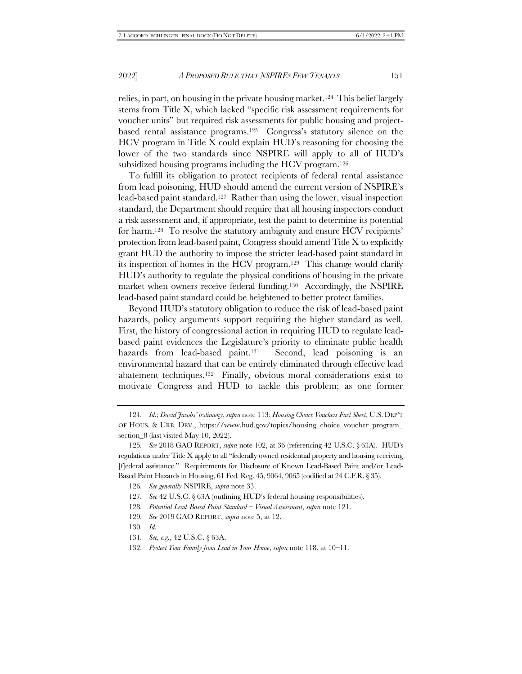relies, in part, on housing in the private housing market.124 This belief largely stems from Title X, which lacked "specific risk assessment requirements for voucher units" but required risk assessments for public housing and projectbased rental assistance programs.125 Congress's statutory silence on the HCV program in Title X could explain HUD's reasoning for choosing the lower of the two standards since NSPIRE will apply to all of HUD's subsidized housing programs including the HCV program.<sup>126</sup>

To fulfill its obligation to protect recipients of federal rental assistance from lead poisoning, HUD should amend the current version of NSPIRE's lead-based paint standard.127 Rather than using the lower, visual inspection standard, the Department should require that all housing inspectors conduct a risk assessment and, if appropriate, test the paint to determine its potential for harm.<sup>128</sup> To resolve the statutory ambiguity and ensure HCV recipients' protection from lead-based paint, Congress should amend Title X to explicitly grant HUD the authority to impose the stricter lead-based paint standard in its inspection of homes in the HCV program.129 This change would clarify HUD's authority to regulate the physical conditions of housing in the private market when owners receive federal funding.130 Accordingly, the NSPIRE lead-based paint standard could be heightened to better protect families.

Beyond HUD's statutory obligation to reduce the risk of lead-based paint hazards, policy arguments support requiring the higher standard as well. First, the history of congressional action in requiring HUD to regulate leadbased paint evidences the Legislature's priority to eliminate public health hazards from lead-based paint.<sup>131</sup> Second, lead poisoning is an environmental hazard that can be entirely eliminated through effective lead abatement techniques.132 Finally, obvious moral considerations exist to motivate Congress and HUD to tackle this problem; as one former

129*. See* 2019 GAO REPORT, *supra* not[e 5,](#page-1-0) at 12.

<sup>124</sup>*. Id.*; *David Jacobs' testimony*, *supra* not[e 113;](#page-14-0) *Housing Choice Vouchers Fact Sheet*, U.S. DEP'T OF HOUS. & URB. DEV., https://www.hud.gov/topics/housing\_choice\_voucher\_program\_ section\_8 (last visited May 10, 2022).

<sup>125</sup>*. See* 2018 GAO REPORT, *supra* not[e 102,](#page-13-0) at 36 (referencing 42 U.S.C. § 63A). HUD's regulations under Title X apply to all "federally owned residential property and housing receiving [f]ederal assistance." Requirements for Disclosure of Known Lead-Based Paint and/or Lead-Based Paint Hazards in Housing, 61 Fed. Reg. 45, 9064, 9065 (codified at 24 C.F.R. § 35).

<sup>126</sup>*. See generally* NSPIRE, *supra* not[e 33.](#page-5-0)

<sup>127</sup>*. See* 42 U.S.C. § 63A (outlining HUD's federal housing responsibilities).

<sup>128</sup>*. Potential Lead-Based Paint Standard – Visual Assessment*, *supra* not[e 121.](#page-15-0)

<sup>130</sup>*. Id.*

<sup>131</sup>*. See, e.g.*, 42 U.S.C. § 63A.

<sup>132</sup>*. Protect Your Family from Lead in Your Home*, *supra* not[e 118,](#page-15-1) at 10–11.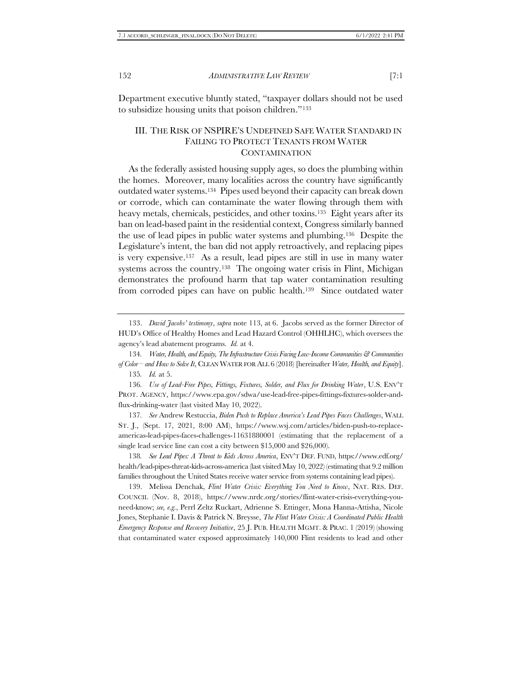<span id="page-17-1"></span>Department executive bluntly stated, "taxpayer dollars should not be used to subsidize housing units that poison children."<sup>133</sup>

### III. THE RISK OF NSPIRE'S UNDEFINED SAFE WATER STANDARD IN FAILING TO PROTECT TENANTS FROM WATER **CONTAMINATION**

<span id="page-17-0"></span>As the federally assisted housing supply ages, so does the plumbing within the homes. Moreover, many localities across the country have significantly outdated water systems.134 Pipes used beyond their capacity can break down or corrode, which can contaminate the water flowing through them with heavy metals, chemicals, pesticides, and other toxins.<sup>135</sup> Eight years after its ban on lead-based paint in the residential context, Congress similarly banned the use of lead pipes in public water systems and plumbing.136 Despite the Legislature's intent, the ban did not apply retroactively, and replacing pipes is very expensive.137 As a result, lead pipes are still in use in many water systems across the country.<sup>138</sup> The ongoing water crisis in Flint, Michigan demonstrates the profound harm that tap water contamination resulting from corroded pipes can have on public health.<sup>139</sup> Since outdated water

136*. Use of Lead-Free Pipes, Fittings, Fixtures, Solder, and Flux for Drinking Water*, U.S. ENV'T PROT. AGENCY, https://www.epa.gov/sdwa/use-lead-free-pipes-fittings-fixtures-solder-andflux-drinking-water (last visited May 10, 2022).

137*. See* Andrew Restuccia, *Biden Push to Replace America's Lead Pipes Faces Challenges*, WALL ST. J., (Sept. 17, 2021, 8:00 AM), https://www.wsj.com/articles/biden-push-to-replaceamericas-lead-pipes-faces-challenges-11631880001 (estimating that the replacement of a single lead service line can cost a city between \$15,000 and \$26,000).

138*. See Lead Pipes: A Threat to Kids Across America*, ENV'T DEF. FUND, https://www.edf.org/ health/lead-pipes-threat-kids-across-america (last visited May 10, 2022) (estimating that 9.2 million families throughout the United States receive water service from systems containing lead pipes).

139. Melissa Denchak, *Flint Water Crisis: Everything You Need to Know*, NAT. RES. DEF. COUNCIL (Nov. 8, 2018), https://www.nrdc.org/stories/flint-water-crisis-everything-youneed-know; *see, e.g.*, Perrl Zeltz Ruckart, Adrienne S. Ettinger, Mona Hanna-Attisha, Nicole Jones, Stephanie I. Davis & Patrick N. Breysse, *The Flint Water Crisis: A Coordinated Public Health Emergency Response and Recovery Initiative*, 25 J. PUB. HEALTH MGMT. & PRAC. 1 (2019) (showing that contaminated water exposed approximately 140,000 Flint residents to lead and other

<sup>133.</sup> *David Jacobs' testimony*, *supra* note [113,](#page-14-0) at 6. Jacobs served as the former Director of HUD's Office of Healthy Homes and Lead Hazard Control (OHHLHC), which oversees the agency's lead abatement programs. *Id.* at 4.

<sup>134</sup>*. Water, Health, and Equity, The Infrastructure Crisis Facing Low-Income Communities & Communities of Color – and How to Solve It*, CLEAN WATER FOR ALL 6 (2018) [hereinafter *Water, Health, and Equity*]. 135*. Id.* at 5.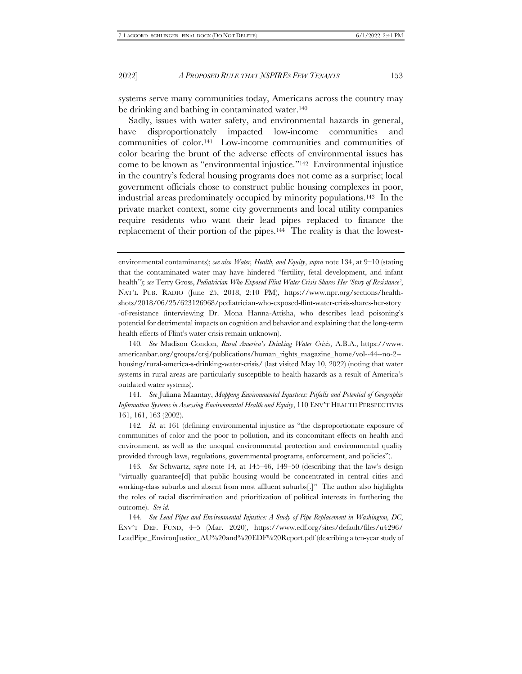systems serve many communities today, Americans across the country may be drinking and bathing in contaminated water.<sup>140</sup>

Sadly, issues with water safety, and environmental hazards in general, have disproportionately impacted low-income communities and communities of color.141 Low-income communities and communities of color bearing the brunt of the adverse effects of environmental issues has come to be known as "environmental injustice."142 Environmental injustice in the country's federal housing programs does not come as a surprise; local government officials chose to construct public housing complexes in poor, industrial areas predominately occupied by minority populations.143 In the private market context, some city governments and local utility companies require residents who want their lead pipes replaced to finance the replacement of their portion of the pipes.<sup>144</sup> The reality is that the lowest-

140*. See* Madison Condon, *Rural America's Drinking Water Crisis*, A.B.A., https://www. americanbar.org/groups/crsj/publications/human\_rights\_magazine\_home/vol--44--no-2- housing/rural-america-s-drinking-water-crisis/ (last visited May 10, 2022) (noting that water systems in rural areas are particularly susceptible to health hazards as a result of America's outdated water systems).

141*. See* Juliana Maantay, *Mapping Environmental Injustices: Pitfalls and Potential of Geographic Information Systems in Assessing Environmental Health and Equity*, 110 ENV'T HEALTH PERSPECTIVES 161, 161, 163 (2002).

142*. Id.* at 161 (defining environmental injustice as "the disproportionate exposure of communities of color and the poor to pollution, and its concomitant effects on health and environment, as well as the unequal environmental protection and environmental quality provided through laws, regulations, governmental programs, enforcement, and policies").

143*. See* Schwartz, *supra* note [14,](#page-2-0) at 145–46, 149–50 (describing that the law's design "virtually guarantee[d] that public housing would be concentrated in central cities and working-class suburbs and absent from most affluent suburbs[.]" The author also highlights the roles of racial discrimination and prioritization of political interests in furthering the outcome). *See id.*

144*. See Lead Pipes and Environmental Injustice: A Study of Pipe Replacement in Washington, DC*, ENV'T DEF. FUND, 4–5 (Mar. 2020), https://www.edf.org/sites/default/files/u4296/ LeadPipe\_EnvironJustice\_AU%20and%20EDF%20Report.pdf (describing a ten-year study of

environmental contaminants); *see also Water, Health, and Equity*, *supra* note [134,](#page-17-0) at 9–10 (stating that the contaminated water may have hindered "fertility, fetal development, and infant health"); *see* Terry Gross, *Pediatrician Who Exposed Flint Water Crisis Shares Her 'Story of Resistance'*, NAT'L PUB. RADIO (June 25, 2018, 2:10 PM), https://www.npr.org/sections/healthshots/2018/06/25/623126968/pediatrician-who-exposed-flint-water-crisis-shares-her-story -of-resistance (interviewing Dr. Mona Hanna-Attisha, who describes lead poisoning's potential for detrimental impacts on cognition and behavior and explaining that the long-term health effects of Flint's water crisis remain unknown).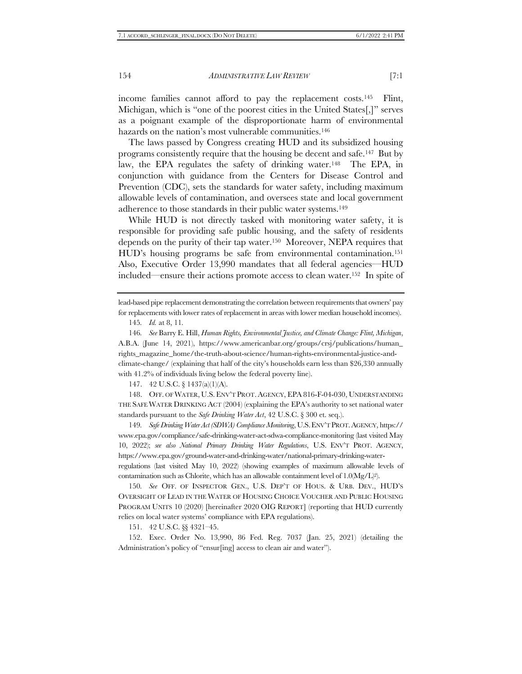income families cannot afford to pay the replacement costs.145 Flint, Michigan, which is "one of the poorest cities in the United States[,]" serves as a poignant example of the disproportionate harm of environmental hazards on the nation's most vulnerable communities.<sup>146</sup>

The laws passed by Congress creating HUD and its subsidized housing programs consistently require that the housing be decent and safe.147 But by law, the EPA regulates the safety of drinking water.<sup>148</sup> The EPA, in conjunction with guidance from the Centers for Disease Control and Prevention (CDC), sets the standards for water safety, including maximum allowable levels of contamination, and oversees state and local government adherence to those standards in their public water systems.<sup>149</sup>

<span id="page-19-0"></span>While HUD is not directly tasked with monitoring water safety, it is responsible for providing safe public housing, and the safety of residents depends on the purity of their tap water.150 Moreover, NEPA requires that HUD's housing programs be safe from environmental contamination.<sup>151</sup> Also, Executive Order 13,990 mandates that all federal agencies—HUD included—ensure their actions promote access to clean water.152 In spite of

lead-based pipe replacement demonstrating the correlation between requirements that owners' pay for replacements with lower rates of replacement in areas with lower median household incomes).

147. 42 U.S.C. § 1437(a)(1)(A).

148. OFF. OF WATER, U.S.ENV'T PROT.AGENCY, EPA 816-F-04-030, UNDERSTANDING THE SAFE WATER DRINKING ACT (2004) (explaining the EPA's authority to set national water standards pursuant to the *Safe Drinking Water Act*, 42 U.S.C. § 300 et. seq.).

149*. Safe Drinking Water Act (SDWA) Compliance Monitoring*, U.S.ENV'T PROT.AGENCY, https:// www.epa.gov/compliance/safe-drinking-water-act-sdwa-compliance-monitoring (last visited May 10, 2022); *see also National Primary Drinking Water Regulations*, U.S. ENV'T PROT. AGENCY, https://www.epa.gov/ground-water-and-drinking-water/national-primary-drinking-waterregulations (last visited May 10, 2022) (showing examples of maximum allowable levels of contamination such as Chlorite, which has an allowable containment level of 1.0(Mg/L)2).

150*. See* OFF. OF INSPECTOR GEN., U.S. DEP'T OF HOUS. & URB. DEV., HUD'S OVERSIGHT OF LEAD IN THE WATER OF HOUSING CHOICE VOUCHER AND PUBLIC HOUSING PROGRAM UNITS 10 (2020) [hereinafter 2020 OIG REPORT] (reporting that HUD currently relies on local water systems' compliance with EPA regulations).

151. 42 U.S.C. §§ 4321–45.

152. Exec. Order No. 13,990, 86 Fed. Reg. 7037 (Jan. 25, 2021) (detailing the Administration's policy of "ensur[ing] access to clean air and water").

<sup>145</sup>*. Id.* at 8, 11*.*

<sup>146</sup>*. See* Barry E. Hill, *Human Rights, Environmental Justice, and Climate Change: Flint, Michigan*, A.B.A. (June 14, 2021), https://www.americanbar.org/groups/crsj/publications/human\_ rights\_magazine\_home/the-truth-about-science/human-rights-environmental-justice-andclimate-change/ (explaining that half of the city's households earn less than \$26,330 annually with 41.2% of individuals living below the federal poverty line).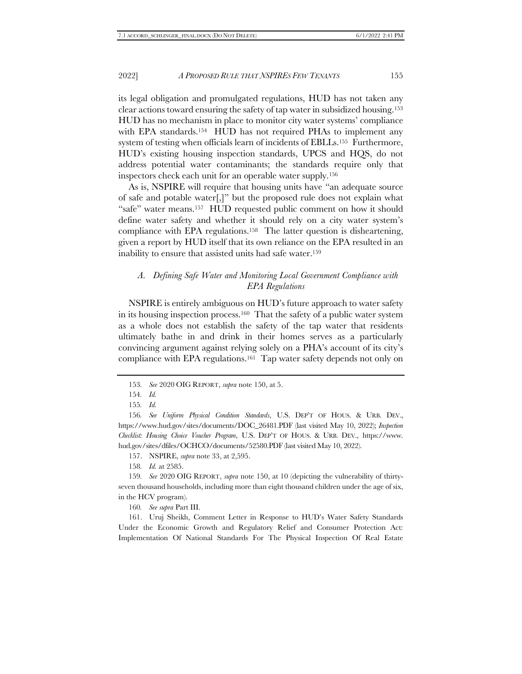its legal obligation and promulgated regulations, HUD has not taken any clear actions toward ensuring the safety of tap water in subsidized housing.<sup>153</sup> HUD has no mechanism in place to monitor city water systems' compliance with EPA standards.<sup>154</sup> HUD has not required PHAs to implement any system of testing when officials learn of incidents of EBLLs.155 Furthermore, HUD's existing housing inspection standards, UPCS and HQS, do not address potential water contaminants; the standards require only that inspectors check each unit for an operable water supply.<sup>156</sup>

As is, NSPIRE will require that housing units have "an adequate source of safe and potable water[,]" but the proposed rule does not explain what "safe" water means.157 HUD requested public comment on how it should define water safety and whether it should rely on a city water system's compliance with EPA regulations.158 The latter question is disheartening, given a report by HUD itself that its own reliance on the EPA resulted in an inability to ensure that assisted units had safe water.<sup>159</sup>

#### *A. Defining Safe Water and Monitoring Local Government Compliance with EPA Regulations*

NSPIRE is entirely ambiguous on HUD's future approach to water safety in its housing inspection process.160 That the safety of a public water system as a whole does not establish the safety of the tap water that residents ultimately bathe in and drink in their homes serves as a particularly convincing argument against relying solely on a PHA's account of its city's compliance with EPA regulations. <sup>161</sup> Tap water safety depends not only on

157. NSPIRE, *supra* not[e 33,](#page-5-0) at 2,595.

158*. Id.* at 2585.

159*. See* 2020 OIG REPORT, *supra* not[e 150,](#page-19-0) at 10 (depicting the vulnerability of thirtyseven thousand households, including more than eight thousand children under the age of six, in the HCV program).

160*. See supra* Part [III.](#page-17-1)

161. Uruj Sheikh, Comment Letter in Response to HUD's Water Safety Standards Under the Economic Growth and Regulatory Relief and Consumer Protection Act: Implementation Of National Standards For The Physical Inspection Of Real Estate

<sup>153</sup>*. See* 2020 OIG REPORT, *supra* note [150,](#page-19-0) at 5.

<sup>154</sup>*. Id.* 

<sup>155</sup>*. Id.*

<sup>156</sup>*. See Uniform Physical Condition Standards*, U.S. DEP'T OF HOUS. & URB. DEV., https://www.hud.gov/sites/documents/DOC\_26481.PDF (last visited May 10, 2022); *Inspection Checklist: Housing Choice Voucher Program*, U.S. DEP'T OF HOUS. & URB. DEV., https://www. hud.gov/sites/dfiles/OCHCO/documents/52580.PDF (last visited May 10, 2022).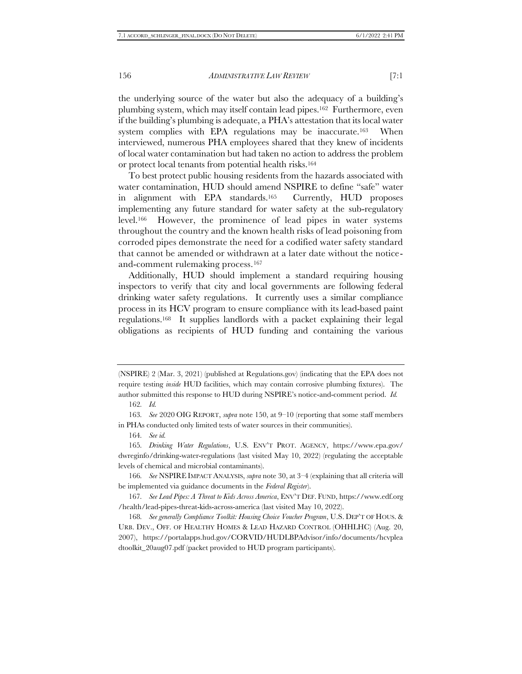the underlying source of the water but also the adequacy of a building's plumbing system, which may itself contain lead pipes.162 Furthermore, even if the building's plumbing is adequate, a PHA's attestation that its local water system complies with EPA regulations may be inaccurate.163 When interviewed, numerous PHA employees shared that they knew of incidents of local water contamination but had taken no action to address the problem or protect local tenants from potential health risks.<sup>164</sup>

To best protect public housing residents from the hazards associated with water contamination, HUD should amend NSPIRE to define "safe" water in alignment with EPA standards.165 Currently, HUD proposes implementing any future standard for water safety at the sub-regulatory level.166 However, the prominence of lead pipes in water systems throughout the country and the known health risks of lead poisoning from corroded pipes demonstrate the need for a codified water safety standard that cannot be amended or withdrawn at a later date without the noticeand-comment rulemaking process.<sup>167</sup>

Additionally, HUD should implement a standard requiring housing inspectors to verify that city and local governments are following federal drinking water safety regulations. It currently uses a similar compliance process in its HCV program to ensure compliance with its lead-based paint regulations.168 It supplies landlords with a packet explaining their legal obligations as recipients of HUD funding and containing the various

164*. See id.*

165*. Drinking Water Regulations*, U.S. ENV'T PROT. AGENCY, https://www.epa.gov/ dwreginfo/drinking-water-regulations (last visited May 10, 2022) (regulating the acceptable levels of chemical and microbial contaminants).

166*. See* NSPIRE IMPACT ANALYSIS, *supra* not[e 30,](#page-4-0) at 3–4 (explaining that all criteria will be implemented via guidance documents in the *Federal Register*).

167*. See Lead Pipes: A Threat to Kids Across America*, ENV'T DEF. FUND, https://www.edf.org /health/lead-pipes-threat-kids-across-america (last visited May 10, 2022).

168*. See generally Compliance Toolkit: Housing Choice Voucher Program*, U.S. DEP'T OF HOUS. & URB. DEV., OFF. OF HEALTHY HOMES & LEAD HAZARD CONTROL (OHHLHC) (Aug. 20, 2007), https://portalapps.hud.gov/CORVID/HUDLBPAdvisor/info/documents/hcvplea dtoolkit\_20aug07.pdf (packet provided to HUD program participants).

<sup>(</sup>NSPIRE) 2 (Mar. 3, 2021) (published at Regulations.gov) (indicating that the EPA does not require testing *inside* HUD facilities, which may contain corrosive plumbing fixtures). The author submitted this response to HUD during NSPIRE's notice-and-comment period. *Id.*

<sup>162</sup>*. Id.*

<sup>163</sup>*. See* 2020 OIG REPORT, *supra* note [150,](#page-19-0) at 9–10 (reporting that some staff members in PHAs conducted only limited tests of water sources in their communities).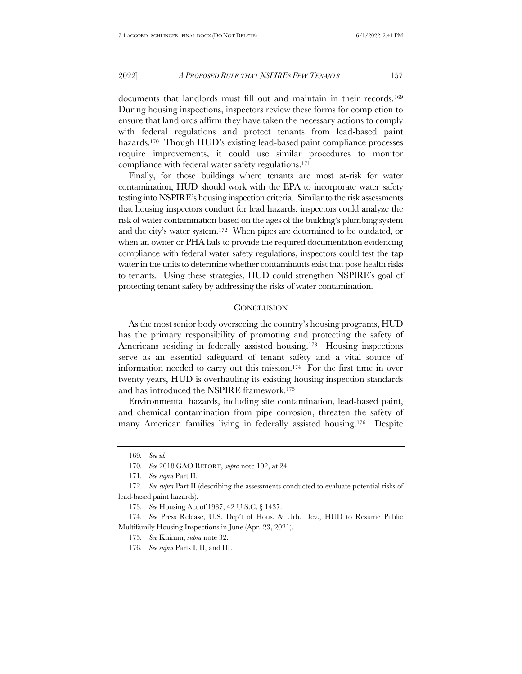documents that landlords must fill out and maintain in their records.<sup>169</sup> During housing inspections, inspectors review these forms for completion to ensure that landlords affirm they have taken the necessary actions to comply with federal regulations and protect tenants from lead-based paint hazards.<sup>170</sup> Though HUD's existing lead-based paint compliance processes require improvements, it could use similar procedures to monitor compliance with federal water safety regulations.<sup>171</sup>

Finally, for those buildings where tenants are most at-risk for water contamination, HUD should work with the EPA to incorporate water safety testing into NSPIRE's housing inspection criteria. Similar to the risk assessments that housing inspectors conduct for lead hazards, inspectors could analyze the risk of water contamination based on the ages of the building's plumbing system and the city's water system.172 When pipes are determined to be outdated, or when an owner or PHA fails to provide the required documentation evidencing compliance with federal water safety regulations, inspectors could test the tap water in the units to determine whether contaminants exist that pose health risks to tenants. Using these strategies, HUD could strengthen NSPIRE's goal of protecting tenant safety by addressing the risks of water contamination.

#### **CONCLUSION**

As the most senior body overseeing the country's housing programs, HUD has the primary responsibility of promoting and protecting the safety of Americans residing in federally assisted housing.173 Housing inspections serve as an essential safeguard of tenant safety and a vital source of information needed to carry out this mission.174 For the first time in over twenty years, HUD is overhauling its existing housing inspection standards and has introduced the NSPIRE framework.<sup>175</sup>

Environmental hazards, including site contamination, lead-based paint, and chemical contamination from pipe corrosion, threaten the safety of many American families living in federally assisted housing.176 Despite

<sup>169</sup>*. See id.*

<sup>170</sup>*. See* 2018 GAO REPORT, *supra* note 102, at 24.

<sup>171</sup>*. See supra* Part II.

<sup>172</sup>*. See supra* Part II (describing the assessments conducted to evaluate potential risks of lead-based paint hazards).

<sup>173</sup>*. See* Housing Act of 1937, 42 U.S.C. § 1437.

<sup>174</sup>*. See* Press Release, U.S. Dep't of Hous. & Urb. Dev., HUD to Resume Public Multifamily Housing Inspections in June (Apr. 23, 2021).

<sup>175</sup>*. See* Khimm, *supra* note 32.

<sup>176</sup>*. See supra* Parts I, II, and III.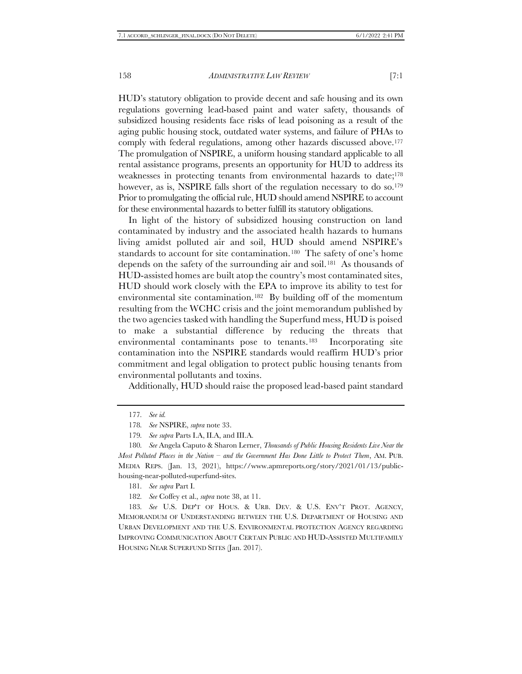HUD's statutory obligation to provide decent and safe housing and its own regulations governing lead-based paint and water safety, thousands of subsidized housing residents face risks of lead poisoning as a result of the aging public housing stock, outdated water systems, and failure of PHAs to comply with federal regulations, among other hazards discussed above.<sup>177</sup> The promulgation of NSPIRE, a uniform housing standard applicable to all rental assistance programs, presents an opportunity for HUD to address its weaknesses in protecting tenants from environmental hazards to date;<sup>178</sup> however, as is, NSPIRE falls short of the regulation necessary to do so.<sup>179</sup> Prior to promulgating the official rule, HUD should amend NSPIRE to account for these environmental hazards to better fulfill its statutory obligations.

In light of the history of subsidized housing construction on land contaminated by industry and the associated health hazards to humans living amidst polluted air and soil, HUD should amend NSPIRE's standards to account for site contamination.<sup>180</sup> The safety of one's home depends on the safety of the surrounding air and soil.181 As thousands of HUD-assisted homes are built atop the country's most contaminated sites, HUD should work closely with the EPA to improve its ability to test for environmental site contamination.182 By building off of the momentum resulting from the WCHC crisis and the joint memorandum published by the two agencies tasked with handling the Superfund mess, HUD is poised to make a substantial difference by reducing the threats that environmental contaminants pose to tenants.183 Incorporating site contamination into the NSPIRE standards would reaffirm HUD's prior commitment and legal obligation to protect public housing tenants from environmental pollutants and toxins.

Additionally, HUD should raise the proposed lead-based paint standard

183*. See* U.S. DEP'T OF HOUS. & URB. DEV. & U.S. ENV'T PROT. AGENCY, MEMORANDUM OF UNDERSTANDING BETWEEN THE U.S. DEPARTMENT OF HOUSING AND URBAN DEVELOPMENT AND THE U.S. ENVIRONMENTAL PROTECTION AGENCY REGARDING IMPROVING COMMUNICATION ABOUT CERTAIN PUBLIC AND HUD-ASSISTED MULTIFAMILY HOUSING NEAR SUPERFUND SITES (Jan. 2017).

<sup>177</sup>*. See id.*

<sup>178</sup>*. See* NSPIRE, *supra* note 33.

<sup>179</sup>*. See supra* Parts I.A, II.A, and III.A.

<sup>180</sup>*. See* Angela Caputo & Sharon Lerner, *Thousands of Public Housing Residents Live Near the Most Polluted Places in the Nation – and the Government Has Done Little to Protect Them*, AM. PUB. MEDIA REPS. (Jan. 13, 2021), https://www.apmreports.org/story/2021/01/13/publichousing-near-polluted-superfund-sites.

<sup>181</sup>*. See supra* Part I.

<sup>182</sup>*. See* Coffey et al., *supra* note 38, at 11.